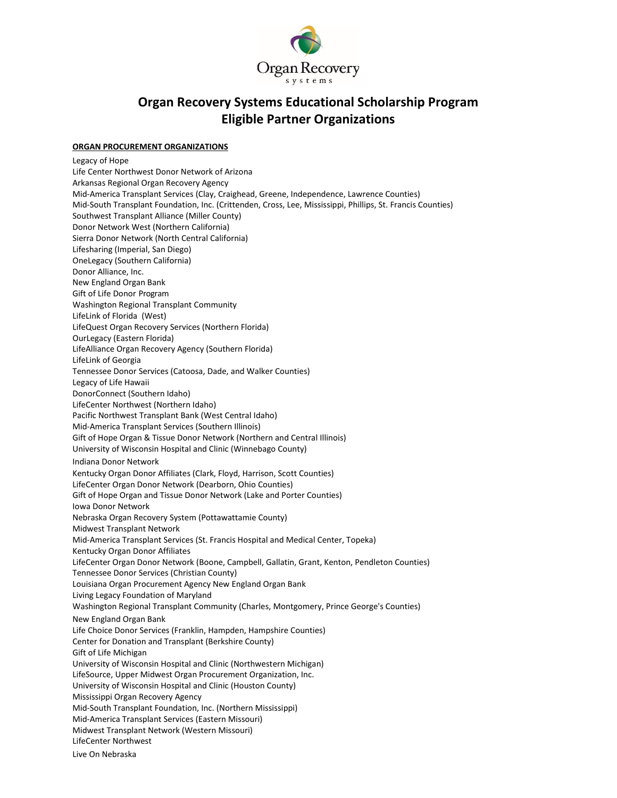

## **Organ Recovery Systems Educational Scholarship Program Eligible Partner Organizations**

## **ORGAN PROCUREMENT ORGANIZATIONS**

Legacy of Hope Life Center Northwest Donor Network of Arizona Arkansas Regional Organ Recovery Agency Mid-America Transplant Services (Clay, Craighead, Greene, Independence, Lawrence Counties) Mid-South Transplant Foundation, Inc. (Crittenden, Cross, Lee, Mississippi, Phillips, St. Francis Counties) Southwest Transplant Alliance (Miller County) Donor Network West (Northern California) Sierra Donor Network (North Central California) Lifesharing (Imperial, San Diego) OneLegacy (Southern California) Donor Alliance, Inc. New England Organ Bank Gift of Life Donor Program Washington Regional Transplant Community LifeLink of Florida (West) LifeQuest Organ Recovery Services (Northern Florida) OurLegacy (Eastern Florida) LifeAlliance Organ Recovery Agency (Southern Florida) LifeLink of Georgia Tennessee Donor Services (Catoosa, Dade, and Walker Counties) Legacy of Life Hawaii DonorConnect (Southern Idaho) LifeCenter Northwest (Northern Idaho) Pacific Northwest Transplant Bank (West Central Idaho) Mid-America Transplant Services (Southern Illinois) Gift of Hope Organ & Tissue Donor Network (Northern and Central Illinois) University of Wisconsin Hospital and Clinic (Winnebago County) Indiana Donor Network Kentucky Organ Donor Affiliates (Clark, Floyd, Harrison, Scott Counties) LifeCenter Organ Donor Network (Dearborn, Ohio Counties) Gift of Hope Organ and Tissue Donor Network (Lake and Porter Counties) Iowa Donor Network Nebraska Organ Recovery System (Pottawattamie County) Midwest Transplant Network Mid-America Transplant Services (St. Francis Hospital and Medical Center, Topeka) Kentucky Organ Donor Affiliates LifeCenter Organ Donor Network (Boone, Campbell, Gallatin, Grant, Kenton, Pendleton Counties) Tennessee Donor Services (Christian County) Louisiana Organ Procurement Agency New England Organ Bank Living Legacy Foundation of Maryland Washington Regional Transplant Community (Charles, Montgomery, Prince George's Counties) New England Organ Bank Life Choice Donor Services (Franklin, Hampden, Hampshire Counties) Center for Donation and Transplant (Berkshire County) Gift of Life Michigan University of Wisconsin Hospital and Clinic (Northwestern Michigan) LifeSource, Upper Midwest Organ Procurement Organization, Inc. University of Wisconsin Hospital and Clinic (Houston County) Mississippi Organ Recovery Agency Mid-South Transplant Foundation, Inc. (Northern Mississippi) Mid-America Transplant Services (Eastern Missouri) Midwest Transplant Network (Western Missouri) LifeCenter Northwest Live On Nebraska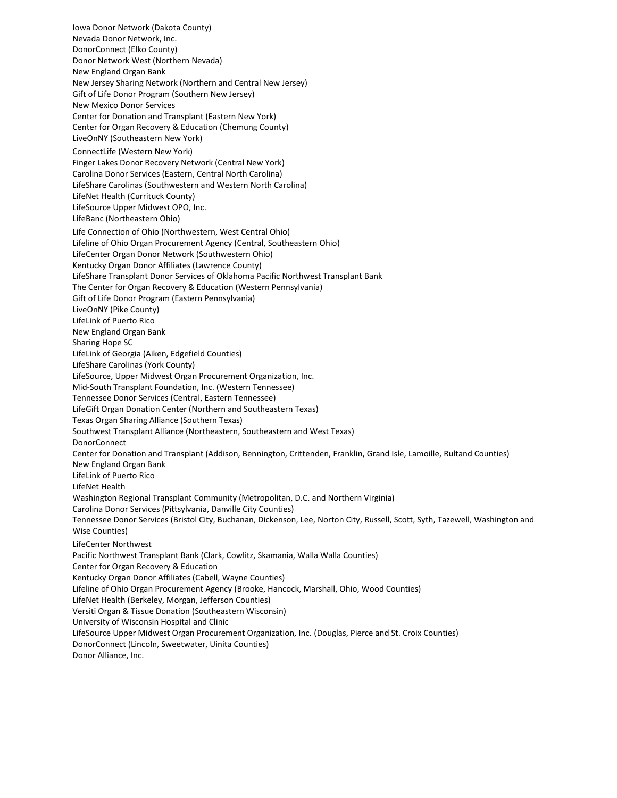Iowa Donor Network (Dakota County) Nevada Donor Network, Inc. DonorConnect (Elko County) Donor Network West (Northern Nevada) New England Organ Bank New Jersey Sharing Network (Northern and Central New Jersey) Gift of Life Donor Program (Southern New Jersey) New Mexico Donor Services Center for Donation and Transplant (Eastern New York) Center for Organ Recovery & Education (Chemung County) LiveOnNY (Southeastern New York) ConnectLife (Western New York) Finger Lakes Donor Recovery Network (Central New York) Carolina Donor Services (Eastern, Central North Carolina) LifeShare Carolinas (Southwestern and Western North Carolina) LifeNet Health (Currituck County) LifeSource Upper Midwest OPO, Inc. LifeBanc (Northeastern Ohio) Life Connection of Ohio (Northwestern, West Central Ohio) Lifeline of Ohio Organ Procurement Agency (Central, Southeastern Ohio) LifeCenter Organ Donor Network (Southwestern Ohio) Kentucky Organ Donor Affiliates (Lawrence County) LifeShare Transplant Donor Services of Oklahoma Pacific Northwest Transplant Bank The Center for Organ Recovery & Education (Western Pennsylvania) Gift of Life Donor Program (Eastern Pennsylvania) LiveOnNY (Pike County) LifeLink of Puerto Rico New England Organ Bank Sharing Hope SC LifeLink of Georgia (Aiken, Edgefield Counties) LifeShare Carolinas (York County) LifeSource, Upper Midwest Organ Procurement Organization, Inc. Mid-South Transplant Foundation, Inc. (Western Tennessee) Tennessee Donor Services (Central, Eastern Tennessee) LifeGift Organ Donation Center (Northern and Southeastern Texas) Texas Organ Sharing Alliance (Southern Texas) Southwest Transplant Alliance (Northeastern, Southeastern and West Texas) DonorConnect Center for Donation and Transplant (Addison, Bennington, Crittenden, Franklin, Grand Isle, Lamoille, Rultand Counties) New England Organ Bank LifeLink of Puerto Rico LifeNet Health Washington Regional Transplant Community (Metropolitan, D.C. and Northern Virginia) Carolina Donor Services (Pittsylvania, Danville City Counties) Tennessee Donor Services (Bristol City, Buchanan, Dickenson, Lee, Norton City, Russell, Scott, Syth, Tazewell, Washington and Wise Counties) LifeCenter Northwest Pacific Northwest Transplant Bank (Clark, Cowlitz, Skamania, Walla Walla Counties) Center for Organ Recovery & Education Kentucky Organ Donor Affiliates (Cabell, Wayne Counties) Lifeline of Ohio Organ Procurement Agency (Brooke, Hancock, Marshall, Ohio, Wood Counties) LifeNet Health (Berkeley, Morgan, Jefferson Counties) Versiti Organ & Tissue Donation (Southeastern Wisconsin) University of Wisconsin Hospital and Clinic LifeSource Upper Midwest Organ Procurement Organization, Inc. (Douglas, Pierce and St. Croix Counties) DonorConnect (Lincoln, Sweetwater, Uinita Counties) Donor Alliance, Inc.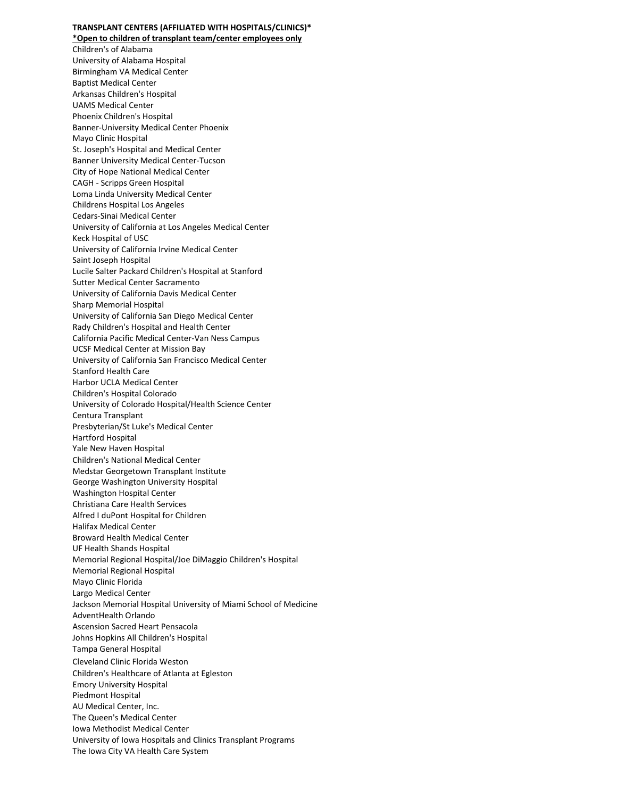## **TRANSPLANT CENTERS (AFFILIATED WITH HOSPITALS/CLINICS)\* \*Open to children of transplant team/center employees only**

[Children's of Alabama](http://www.childrensal.org/) [University of Alabama Hospital](https://uabmedicine.org/transplant) [Birmingham VA Medical Center](http://www.birmingham.va.gov/) [Baptist Medical Center](https://www.baptist-health.com/location/baptist-health-transplant-institute) [Arkansas Children's Hospital](http://www.archildrens.org/) [UAMS Medical Center](http://www.uams.edu/) [Phoenix Children's Hospital](http://www.phoenixchildrens.com/) [Banner-University Medical Center Phoenix](https://www.bannerhealth.com/) [Mayo Clinic Hospital](https://www.mayoclinic.org/departments-centers/transplant-center/home/orc-20203891?mc_id=us&utm_source=optn&utm_medium=l&utm_content=medicallistingtransplant&utm_campaign=mayoclinic&geo=national&placementsite=enterprise&invsrc=transplant&cauid=106867) [St. Joseph's Hospital and Medical Center](http://www.stjosephs-phx.org/) [Banner University Medical Center-Tucson](https://www.bannerhealth.com/) [City of Hope National Medical Center](http://www.cityofhope.org/home) CAGH - [Scripps Green](http://www.scripps.org/services/organ-and-cell-transplantation) Hospital [Loma Linda University Medical Center](https://lluh.org/transplant-institute) [Childrens Hospital Los](http://www.chla.org/) Angeles [Cedars-Sinai Medical Center](https://www.cedars-sinai.org/) [University of California at Los Angeles Medical Center](https://www.uclahealth.org/transplants/) [Keck Hospital of USC](http://transplant.keckmedicine.org/) [University of California Irvine Medical Center](http://www.ucirvinehealth.org/medical-services/transplant) [Saint Joseph Hospital](http://www.sjo.org/) [Lucile Salter Packard Children's Hospital at Stanford](http://www.stanfordchildrens.org/) [Sutter Medical Center Sacramento](http://suttermedicalcenter.org/) [University of California Davis Medical Center](http://www.ucdmc.ucdavis.edu/transplant/) [Sharp Memorial Hospital](http://www.sharp.com/transplant/index.cfm) [University of California San Diego Medical Center](http://health.ucsd.edu/) [Rady Children's Hospital and Health Center](http://www.rchsd.org/) [California Pacific Medical Center-Van Ness Campus](http://www.cpmc.org/advanced/transplant) [UCSF Medical Center at Mission Bay](http://www.ucsfhealth.org/) [University of California San Francisco Medical Center](http://www.ucsfhealth.org/) [Stanford Health Care](http://stanfordhospital.org/) [Harbor UCLA Medical Center](http://www.harbor-ucla.org/) [Children's Hospital Colorado](http://www.childrenscolorado.org/) [University of Colorado Hospital/Health Science Center](http://www.uch.edu/conditions/transplant-services/index.aspx) [Centura Transplant](http://www.porterhospital.org/) [Presbyterian/St Luke's Medical Center](http://www.pslmc.com/) [Hartford Hospital](http://www.harthosp.org/) [Yale New Haven Hospital](http://www.ynhh.org/) [Children's National Medical Center](http://www.childrensnational.org/) Medstar [Georgetown Transplant Institute](http://gumc.georgetown.edu/) [George Washington University Hospital](https://www.gwhospital.com/) [Washington Hospital Center](http://www.whcenter.org/) [Christiana Care Health Services](http://www.christianacare.org/) [Alfred I duPont Hospital for Children](http://www.nemours.org/about/location/nchaidhc.html) [Halifax Medical Center](http://www.halifaxhealth.org/) [Broward Health Medical Center](http://www.browardhealth.org/) [UF Health Shands Hospital](https://ufhealth.org/transplant-center/overview) [Memorial Regional Hospital/Joe DiMaggio Children's Hospital](http://www.jdch.com/html/medical-specialties/cardiac/programs-services/heart-transplant-program.html) [Memorial Regional Hospital](http://www.memorialregional.com/) [Mayo Clinic Florida](https://www.mayoclinic.org/departments-centers/transplant-center/home/orc-20203891) [Largo Medical](http://www.largomedical.com/) Center [Jackson Memorial Hospital University of Miami School of Medicine](http://www.miamitransplant.com/) [AdventHealth](https://www.adventhealthtransplantinstitute.com/) Orlando [Ascension Sacred Heart Pensacola](http://www.sacred-heart.org/) [Johns Hopkins All Children's Hospital](http://www.hopkinsallchildrens.org/) [Tampa General Hospital](http://www.tgh.org/) [Cleveland Clinic Florida Weston](http://my.clevelandclinic.org/florida/default.aspx) [Children's Healthcare of Atlanta at Egleston](http://www.choa.org/) [Emory University Hospital](http://www.transplant.emory.edu/) [Piedmont Hospital](http://www.piedmonttransplant.org/) [AU Medical Center, Inc.](http://www.augustahealth.org/) [The Queen's Medical Center](https://www.queens.org/the-queens-medical-center/services/transplant-center/transplant-center-qmc) [Iowa Methodist Medical Center](https://www.unitypoint.org/desmoines/services-transplant-center.aspx) [University of Iowa Hospitals and Clinics Transplant Programs](http://www.uihealthcare.org/) The Iowa City VA Health Care System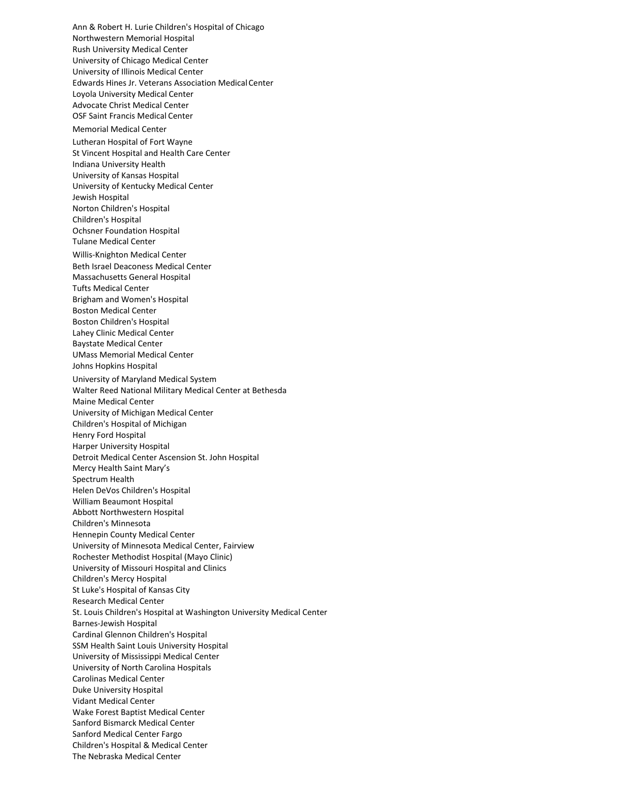[Ann & Robert H. Lurie Children's Hospital of Chicago](http://www.luriechildrens.org/) [Northwestern Memorial Hospital](http://www.nmh.org/) [Rush University](http://www.rush.edu/) Medical Center [University of Chicago Medical Center](http://www.uchospitals.edu/) [University of Illinois Medical Center](http://hospital.uillinois.edu/) [Edwards Hines Jr. Veterans Association MedicalCenter](https://www.hines.va.gov/) [Loyola University Medical](http://www.loyolamedicine.org/) Center [Advocate Christ Medical Center](http://www.advocatehealth.com/cmc/) [OSF Saint Francis Medical](http://www.osfsaintfrancis.org/) Center [Memorial Medical Center](http://www.memorialmedical.com/) [Lutheran Hospital of Fort Wayne](http://lutheranhospital.com/) [St Vincent Hospital and Health Care Center](http://www.stvincent.org/) [Indiana University Health](http://www.iuhealth.org/) [University of Kansas Hospital](https://www.kansashealthsystem.com/transplant) University [of Kentucky Medical Center](https://ukhealthcare.uky.edu/transplant-center) [Jewish Hospital](https://www.uoflhealthnetwork.org/transplant-care) [Norton Children's Hospital](https://nortonchildrens.com/) [Children's Hospital](http://www.chnola.org/) [Ochsner Foundation Hospital](http://www.ochsner.org/) [Tulane Medical Center](http://www.tuhc.com/) [Willis-Knighton Medical Center](http://www.wkhs.com/Locations/MedicalCenter.aspx) [Beth Israel Deaconess Medical Center](http://www.bidmc.org/) [Massachusetts General Hospital](http://www.massgeneral.org/transplant/) [Tufts Medical Center](https://www.tuftsmedicalcenter.org/) [Brigham and Women's Hospital](http://www.brighamandwomens.org/) [Boston Medical Center](http://www.bmc.org/) [Boston Children's Hospital](http://www.childrenshospital.org/) [Lahey Clinic Medical Center](http://www.lahey.org/) [Baystate Medical Center](http://www.baystatehealth.com/) [UMass Memorial Medical Center](http://www.umassmemorialhealthcare.org/umass-memorial-medical-center/services-treatments/surgery/services-we-provide/transplant-surgery) [Johns Hopkins Hospital](http://www.hopkinsmedicine.org/) [University of Maryland Medical System](http://www.umm.edu/transplant) [Walter Reed National Military Medical Center at Bethesda](http://www.wrnmmc.capmed.mil/) [Maine Medical Center](http://www.mmc.org/) [University of Michigan Medical Center](http://www.med.umich.edu/trans) [Children's Hospital of Michigan](http://www.dmc.org/) [Henry Ford Hospital](http://www.henryfordhealth.org/) Harper University Hospital Detroit Medical Center [Ascension St. John Hospital](https://healthcare.ascension.org/Specialty-Care/Surgery/Michigan-Kidney-Transplant-Specialty-Center) [Mercy Health Saint Mary's](http://www.smhealthcare.org/) [Spectrum Health](http://www.spectrumhealth.org/) [Helen DeVos Children's Hospital](http://www.helendevoschildrens.org/) [William Beaumont Hospital](http://www.beaumont.edu/) [Abbott Northwestern Hospital](http://www.allinahealth.org/Abbott-Northwestern-Hospital/Services/Transplantation-department/) [Children's Minnesota](https://www.childrensmn.org/) [Hennepin County Medical Center](http://www.hcmc.org/) [University of Minnesota Medical Center, Fairview](https://www.mhealth.org/) [Rochester Methodist Hospital \(Mayo Clinic\)](https://www.mayoclinic.org/departments-centers/transplant-center/home/orc-20203891?mc_id=us&utm_source=optn&utm_medium=l&utm_content=medicallistingtransplant&utm_campaign=mayoclinic&geo=national&placementsite=enterprise&invsrc=transplant&cauid=106867) [University of Missouri Hospital and Clinics](http://www.muhealth.org/services/gim/nephrology/-kidney-transplant-program-/) [Children's Mercy Hospital](http://www.childrensmercy.org/) [St Luke's Hospital of Kansas City](http://www.saintlukeshealthsystem.org/) [Research Medical Center](http://researchmedicalcenter.com/) [St. Louis Children's Hospital at Washington University Medical Center](http://www.stlouischildrens.org/) [Barnes-Jewish Hospital](http://www.barnesjewish.org/) [Cardinal Glennon Children's Hospital](http://www.cardinalglennon.com/) [SSM Health Saint Louis University Hospital](http://www.ssmhealth.com/sluhospital) [University of Mississippi Medical Center](http://www.umc.edu/) [University of North Carolina Hospitals](http://www.unchealthcare.org/) [Carolinas Medical Center](http://www.carolinasmedicalcenter.org/) [Duke University Hospital](http://www.dukehealth.org/) [Vidant Medical Center](http://www.vidanthealth.com/) [Wake Forest Baptist Medical Center](http://www.wakehealth.edu/) [Sanford Bismarck Medical Center](https://www.sanfordhealth.org/) [Sanford Medical Center Fargo](http://www.sanfordhealth.org/Locations/Community/Fargo%2CND) [Children's Hospital & Medical Center](http://www.childrensomaha.org/) [The Nebraska Medical Center](http://www.nebraskamed.com/)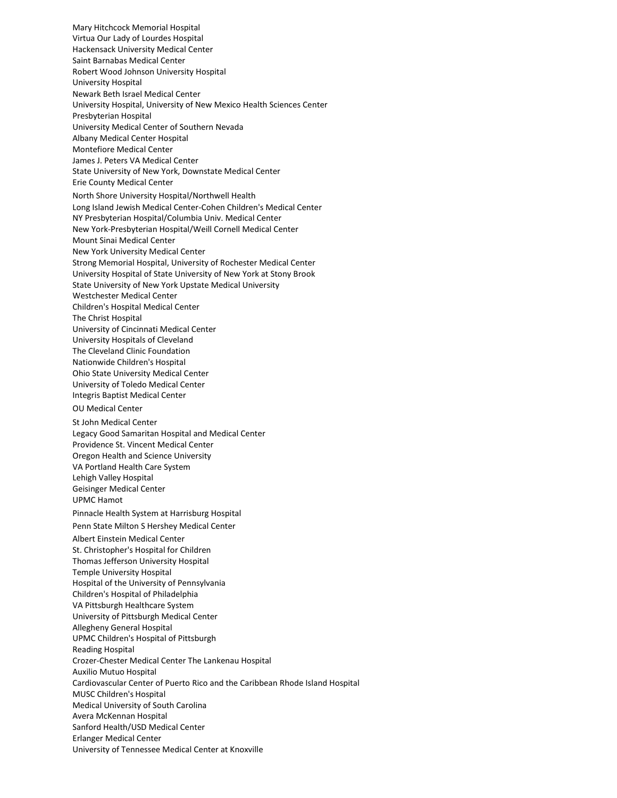[Mary Hitchcock Memorial Hospital](http://www.dhmc.org/) [Virtua Our Lady of Lourdes Hospital](http://www.lourdesnet.org/) [Hackensack University Medical Center](http://www.hackensackumc.org/) [Saint Barnabas Medical Center](http://www.saintbarnabas.com/) Robert Wood Johnson University Hospital [University Hospital](http://www.uhnj.org/) [Newark Beth Israel Medical Center](https://www.rwjbh.org/newark-beth-israel-medical-center/) [University Hospital, University of New Mexico Health Sciences Center](http://hospitals.unm.edu/) [Presbyterian Hospital](https://www.phs.org/doctors-services/services-centers/Pages/kidney-transplant-services.aspx) [University Medical Center of Southern Nevada](http://www.umcsn.com/) [Albany Medical Center Hospital](http://www.amc.edu/) [Montefiore Medical Center](http://www.montefiore.org/) [James J. Peters VA Medical Center](http://www.bronx.va.gov/) [State University of New York, Downstate Medical Center](http://www.downstate.edu/) [Erie County Medical Center](http://www.ecmc.edu/) [North Shore University Hospital/Northwell Health](http://www.northshorelij.com/transplant) [Long Island Jewish Medical Center-Cohen Children's Medical Center](https://childrenshospital.northwell.edu/) [NY Presbyterian Hospital/Columbia Univ. Medical Center](http://www.nyp.org/transplant/transplant-services) [New York-Presbyterian Hospital/Weill Cornell Medical Center](http://nyp.org/transplant/) [Mount Sinai Medical Center](http://www.mountsinai.org/) [New York University Medical Center](http://www.med.nyu.edu/Transplant/TX.html) [Strong Memorial Hospital, University of Rochester Medical Center](http://www.urmc.edu/) [University Hospital of State University of New York at Stony Brook](http://stonybrookmedicine.edu/patientcare/kidney_transplant_program) [State University of New York Upstate Medical University](http://www.upstate.edu/) [Westchester Medical Center](http://www.wcmc.com/) [Children's Hospital Medical Center](http://www.cincinnatichildrens.org/) [The Christ Hospital](http://www.thechristhospital.com/?id=44&sid=1) [University of Cincinnati Medical Center](http://uchealth.com/university-of-cincinnati-medical-center/) [University Hospitals of Cleveland](http://www.uhhs.com/) [The Cleveland Clinic Foundation](http://www.ccf.org/) [Nationwide Children's](http://www.nationwidechildrens.org/) Hospital [Ohio State University Medical Center](http://medicalcenter.osu.edu/) [University of Toledo Medical Center](http://uthealth.utoledo.edu/) [Integris Baptist Medical](http://www.integrisok.com/transplant) Center [OU Medical Center](http://www.oumedcenter.com/) [St John Medical Center](http://www.sjhealthsystem.com/) [Legacy Good Samaritan Hospital and Medical Center](http://www.legacyhealth.org/transplant) [Providence St. Vincent Medical Center](https://oregon.providence.org/location-directory/p/providence-st-vincent-medical-center/) [Oregon Health and Science University](http://www.ohsu.edu/) [VA Portland Health Care System](http://www.portland.va.gov/) [Lehigh Valley Hospital](http://www.lvh.org/) [Geisinger Medical Center](http://www.geisinger.org/) [UPMC Hamot](http://www.upmc.com/) [Pinnacle Health System at Harrisburg Hospital](http://www.pinnaclehealth.org/) [Penn State Milton S Hershey Medical Center](http://pennstatehershey.org/transplants) [Albert Einstein Medical Center](http://www.einstein.edu/) [St. Christopher's Hospital for Children](http://www.stchristophershospital.com/) [Thomas Jefferson University Hospital](http://www.jeffersonhospital.org/) [Temple University Hospital](https://www.templehealth.org/services/transplant) [Hospital of the University of Pennsylvania](http://www.pennhealth.com/) [Children's Hospital of Philadelphia](http://www.chop.edu/) [VA Pittsburgh Healthcare System](http://www.pittsburgh.va.gov/) [University of Pittsburgh Medical Center](http://www.upmc.com/Services/transplant/Pages/default.aspx) [Allegheny General Hospital](http://www.allhealth.edu/agh) [UPMC Children's Hospital of Pittsburgh](http://www.chp.edu/) Reading Hospital [Crozer-Chester Medical Center](http://www.crozer.org/) [The Lankenau](http://www.mainlinehealth.org/lankenau/kidney-transplant-program) Hospital [Auxilio Mutuo](http://www.auxilio.com/) Hospital [Cardiovascular Center of Puerto Rico and the Caribbean](http://www.cardiovascular.pr.gov/) [Rhode Island Hospital](https://www.lifespan.org/) [MUSC Children's](http://www.musc.edu/) Hospital [Medical University of South Carolina](http://www.musc.edu/) [Avera McKennan](http://www.averamckennan.org/amck/specialtyclinics/transplantinst/index.aspx) Hospital [Sanford Health/USD Medical Center](http://www.sanfordhealth.org/) [Erlanger Medical Center](http://www.erlanger.org/) [University of Tennessee Medical Center at Knoxville](http://www.utmedicalcenter.org/)